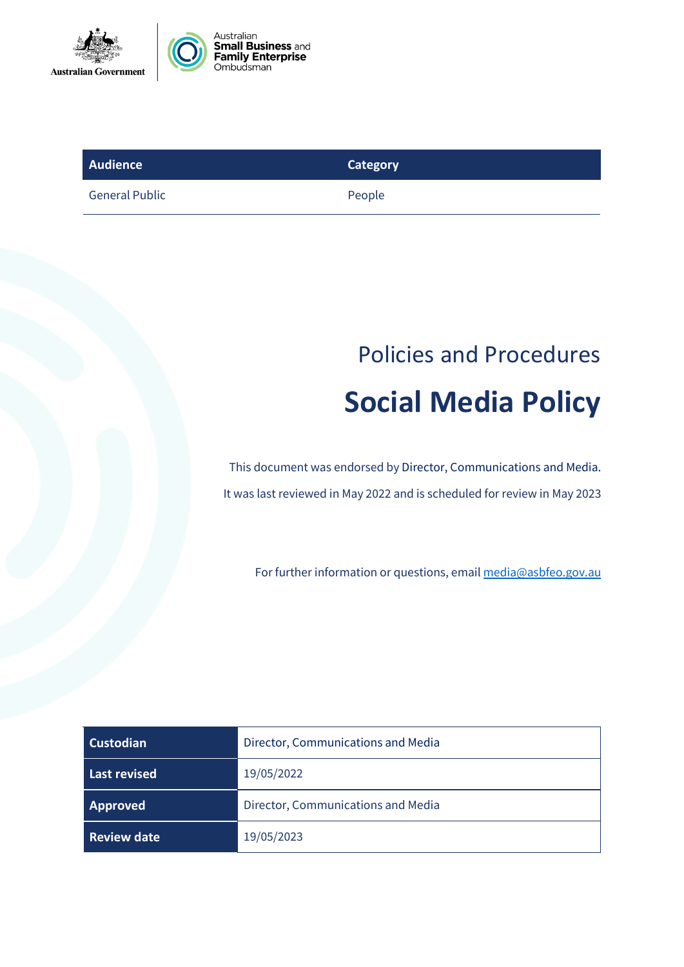



| Audience              | Category |
|-----------------------|----------|
| <b>General Public</b> | People   |

# Policies and Procedures **Social Media Policy**

This document was endorsed by Director, Communications and Media. It was last reviewed in May 2022 and is scheduled for review in May 2023

For further information or questions, emai[l media@asbfeo.gov.au](mailto:media@asbfeo.gov.au)

| Custodian          | Director, Communications and Media |
|--------------------|------------------------------------|
| Last revised       | 19/05/2022                         |
| Approved           | Director, Communications and Media |
| <b>Review date</b> | 19/05/2023                         |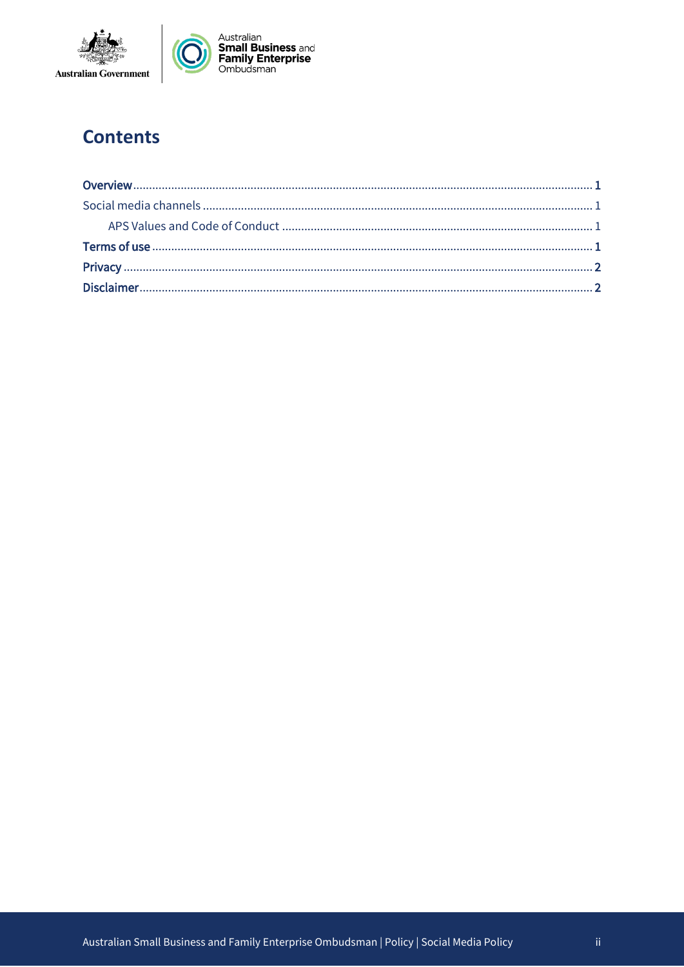

## **Contents**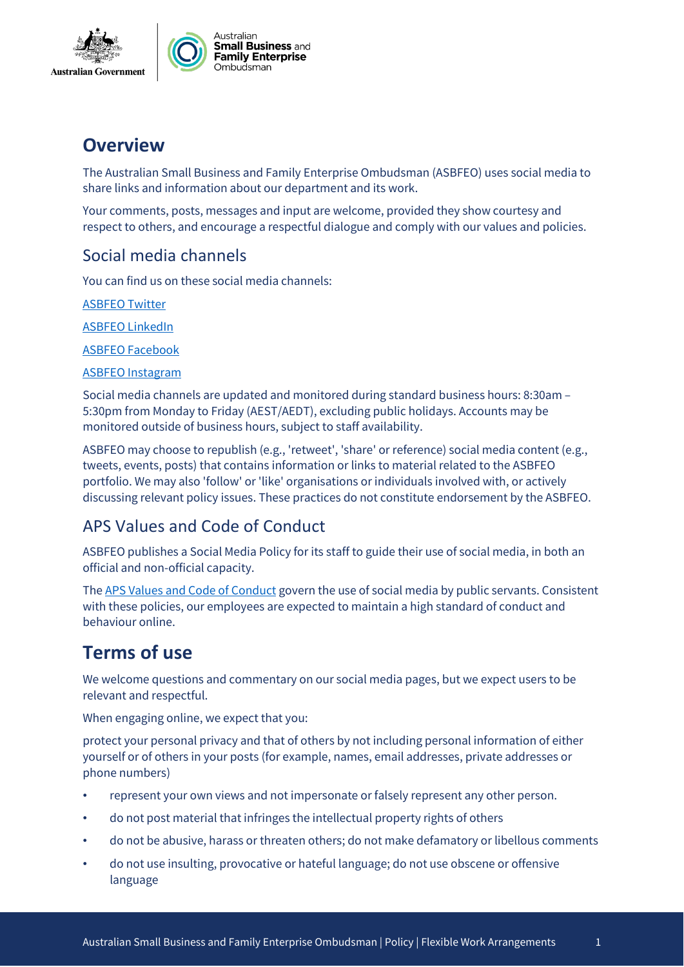



## **Overview**

The Australian Small Business and Family Enterprise Ombudsman (ASBFEO) uses social media to share links and information about our department and its work.

Your comments, posts, messages and input are welcome, provided they show courtesy and respect to others, and encourage a respectful dialogue and comply with our values and policies.

#### Social media channels

You can find us on these social media channels:

[ASBFEO Twitter](https://twitter.com/ASBFEO) 

[ASBFEO LinkedIn](https://www.linkedin.com/company/7928582/admin/)

[ASBFEO Facebook](https://www.facebook.com/ASBFEO)

[ASBFEO Instagram](https://www.instagram.com/p/CMQZ41VgmZi/) 

Social media channels are updated and monitored during standard business hours: 8:30am – 5:30pm from Monday to Friday (AEST/AEDT), excluding public holidays. Accounts may be monitored outside of business hours, subject to staff availability.

ASBFEO may choose to republish (e.g., 'retweet', 'share' or reference) social media content (e.g., tweets, events, posts) that contains information or links to material related to the ASBFEO portfolio. We may also 'follow' or 'like' organisations or individuals involved with, or actively discussing relevant policy issues. These practices do not constitute endorsement by the ASBFEO.

#### APS Values and Code of Conduct

ASBFEO publishes a Social Media Policy for its staff to guide their use of social media, in both an official and non-official capacity.

Th[e APS Values and Code of Conduct](https://www.apsc.gov.au/working-aps/aps-employees-and-managers/aps-values/aps-values-employment-principles-and-code-conduct) govern the use of social media by public servants. Consistent with these policies, our employees are expected to maintain a high standard of conduct and behaviour online.

# **Terms of use**

We welcome questions and commentary on our social media pages, but we expect users to be relevant and respectful.

When engaging online, we expect that you:

protect your personal privacy and that of others by not including personal information of either yourself or of others in your posts (for example, names, email addresses, private addresses or phone numbers)

- represent your own views and not impersonate or falsely represent any other person.
- do not post material that infringes the intellectual property rights of others
- do not be abusive, harass or threaten others; do not make defamatory or libellous comments
- do not use insulting, provocative or hateful language; do not use obscene or offensive language